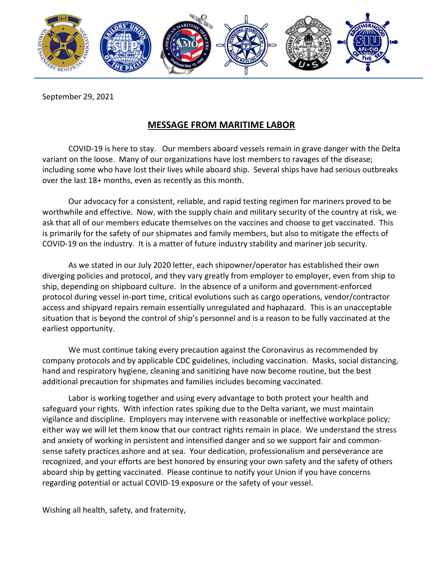

September 29, 2021

## **MESSAGE FROM MARITIME LABOR**

COVID-19 is here to stay. Our members aboard vessels remain in grave danger with the Delta variant on the loose. Many of our organizations have lost members to ravages of the disease; including some who have lost their lives while aboard ship. Several ships have had serious outbreaks over the last 18+ months, even as recently as this month.

 Our advocacy for a consistent, reliable, and rapid testing regimen for mariners proved to be worthwhile and effective. Now, with the supply chain and military security of the country at risk, we ask that all of our members educate themselves on the vaccines and choose to get vaccinated. This is primarily for the safety of our shipmates and family members, but also to mitigate the effects of COVID-19 on the industry. It is a matter of future industry stability and mariner job security.

As we stated in our July 2020 letter, each shipowner/operator has established their own diverging policies and protocol, and they vary greatly from employer to employer, even from ship to ship, depending on shipboard culture. In the absence of a uniform and government-enforced protocol during vessel in-port time, critical evolutions such as cargo operations, vendor/contractor access and shipyard repairs remain essentially unregulated and haphazard. This is an unacceptable situation that is beyond the control of ship's personnel and is a reason to be fully vaccinated at the earliest opportunity.

 We must continue taking every precaution against the Coronavirus as recommended by company protocols and by applicable CDC guidelines, including vaccination. Masks, social distancing, hand and respiratory hygiene, cleaning and sanitizing have now become routine, but the best additional precaution for shipmates and families includes becoming vaccinated.

Labor is working together and using every advantage to both protect your health and safeguard your rights. With infection rates spiking due to the Delta variant, we must maintain vigilance and discipline. Employers may intervene with reasonable or ineffective workplace policy; either way we will let them know that our contract rights remain in place. We understand the stress and anxiety of working in persistent and intensified danger and so we support fair and commonsense safety practices ashore and at sea. Your dedication, professionalism and perseverance are recognized, and your efforts are best honored by ensuring your own safety and the safety of others aboard ship by getting vaccinated. Please continue to notify your Union if you have concerns regarding potential or actual COVID-19 exposure or the safety of your vessel.

Wishing all health, safety, and fraternity,